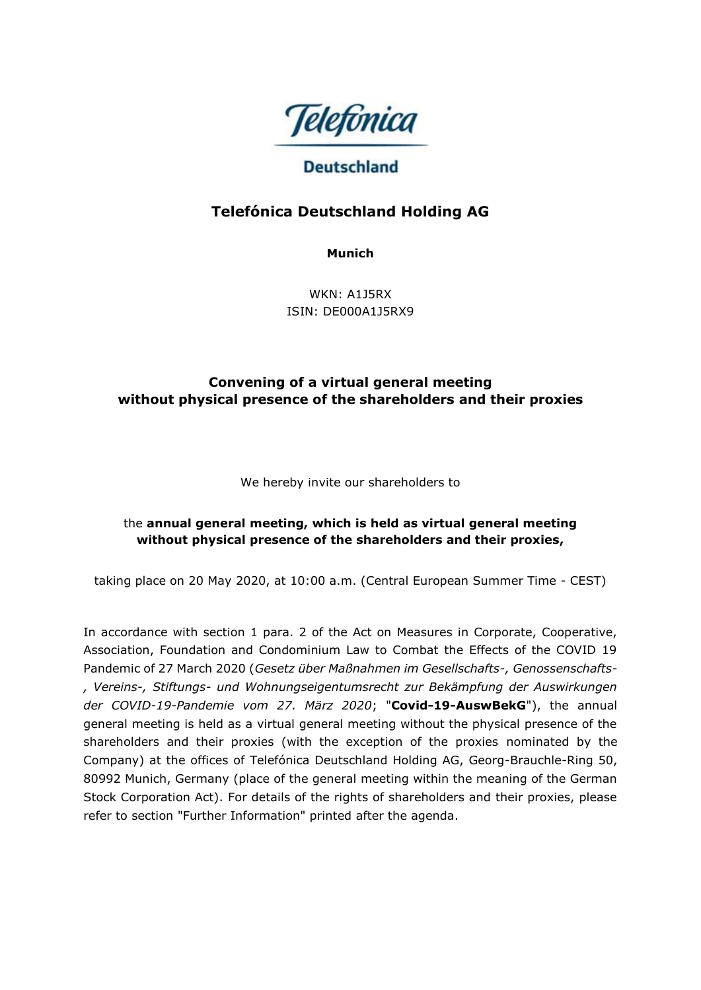

# **Deutschland**

# **Telefónica Deutschland Holding AG**

**Munich**

WKN: A1J5RX ISIN: DE000A1J5RX9

# **Convening of a virtual general meeting without physical presence of the shareholders and their proxies**

We hereby invite our shareholders to

# the **annual general meeting, which is held as virtual general meeting without physical presence of the shareholders and their proxies,**

taking place on 20 May 2020, at 10:00 a.m. (Central European Summer Time - CEST)

In accordance with section 1 para. 2 of the Act on Measures in Corporate, Cooperative, Association, Foundation and Condominium Law to Combat the Effects of the COVID 19 Pandemic of 27 March 2020 (*Gesetz über Maßnahmen im Gesellschafts-, Genossenschafts- , Vereins-, Stiftungs- und Wohnungseigentumsrecht zur Bekämpfung der Auswirkungen der COVID-19-Pandemie vom 27. März 2020*; "**Covid-19-AuswBekG**"), the annual general meeting is held as a virtual general meeting without the physical presence of the shareholders and their proxies (with the exception of the proxies nominated by the Company) at the offices of Telefónica Deutschland Holding AG, Georg-Brauchle-Ring 50, 80992 Munich, Germany (place of the general meeting within the meaning of the German Stock Corporation Act). For details of the rights of shareholders and their proxies, please refer to section "Further Information" printed after the agenda.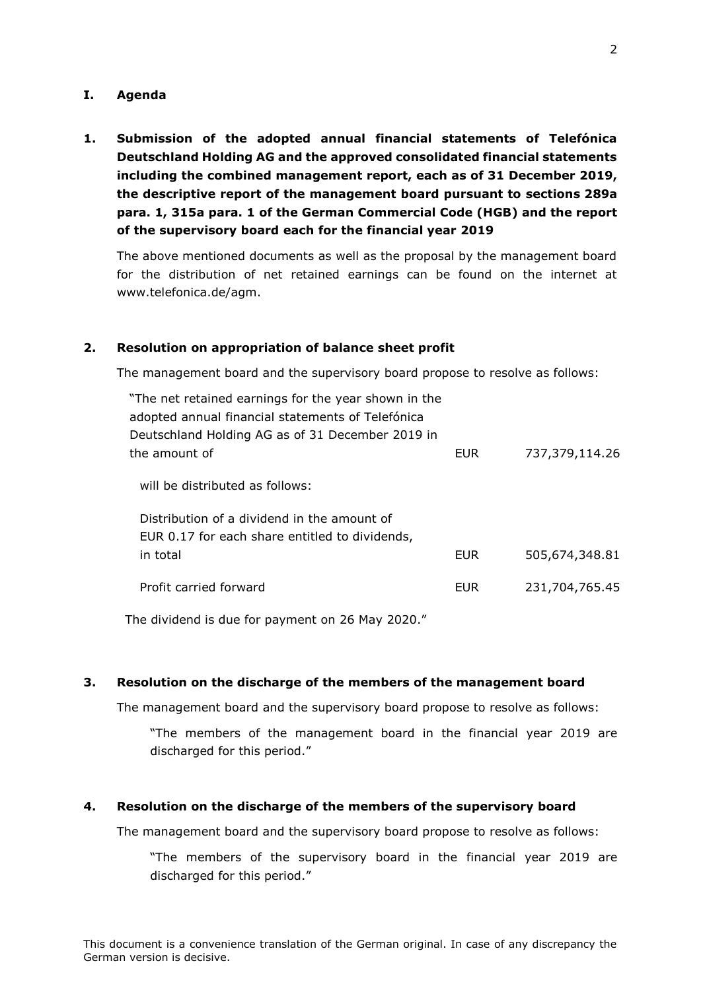#### **I. Agenda**

**1. Submission of the adopted annual financial statements of Telefónica Deutschland Holding AG and the approved consolidated financial statements including the combined management report, each as of 31 December 2019, the descriptive report of the management board pursuant to sections 289a para. 1, 315a para. 1 of the German Commercial Code (HGB) and the report of the supervisory board each for the financial year 2019**

The above mentioned documents as well as the proposal by the management board for the distribution of net retained earnings can be found on the internet at www.telefonica.de/agm.

#### **2. Resolution on appropriation of balance sheet profit**

The management board and the supervisory board propose to resolve as follows:

| "The net retained earnings for the year shown in the<br>adopted annual financial statements of Telefónica<br>Deutschland Holding AG as of 31 December 2019 in |            |                |
|---------------------------------------------------------------------------------------------------------------------------------------------------------------|------------|----------------|
| the amount of                                                                                                                                                 | <b>EUR</b> | 737,379,114.26 |
| will be distributed as follows:                                                                                                                               |            |                |
| Distribution of a dividend in the amount of<br>EUR 0.17 for each share entitled to dividends,                                                                 |            |                |
| in total                                                                                                                                                      | <b>EUR</b> | 505,674,348.81 |
| Profit carried forward                                                                                                                                        | <b>EUR</b> | 231,704,765.45 |

The dividend is due for payment on 26 May 2020."

#### **3. Resolution on the discharge of the members of the management board**

The management board and the supervisory board propose to resolve as follows:

"The members of the management board in the financial year 2019 are discharged for this period."

#### **4. Resolution on the discharge of the members of the supervisory board**

The management board and the supervisory board propose to resolve as follows:

"The members of the supervisory board in the financial year 2019 are discharged for this period."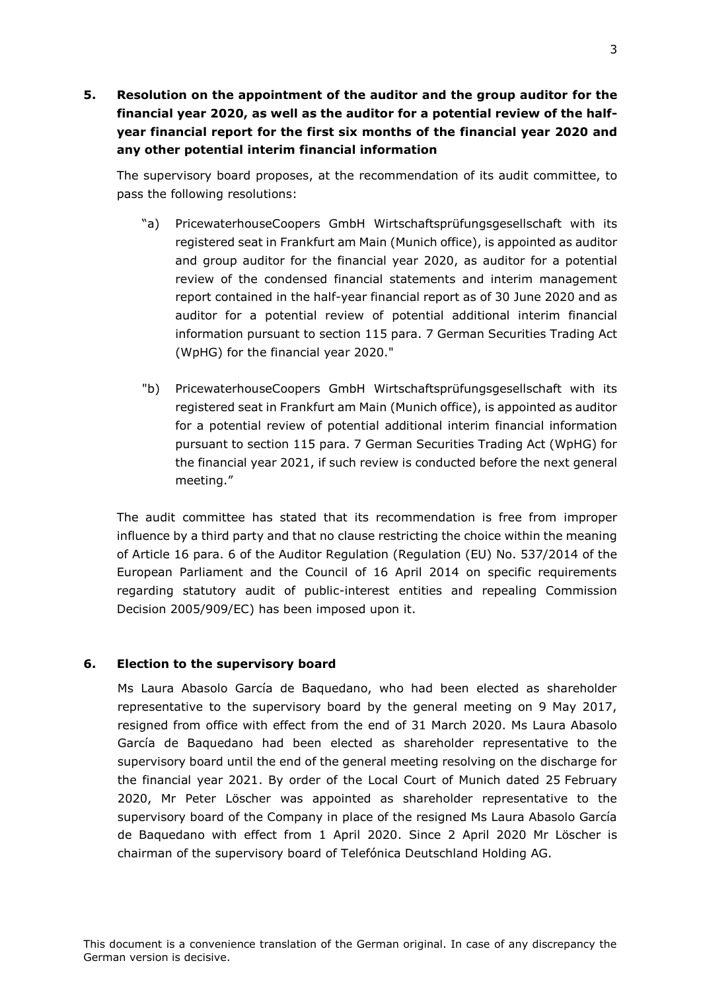**5. Resolution on the appointment of the auditor and the group auditor for the financial year 2020, as well as the auditor for a potential review of the halfyear financial report for the first six months of the financial year 2020 and any other potential interim financial information** 

The supervisory board proposes, at the recommendation of its audit committee, to pass the following resolutions:

- "a) PricewaterhouseCoopers GmbH Wirtschaftsprüfungsgesellschaft with its registered seat in Frankfurt am Main (Munich office), is appointed as auditor and group auditor for the financial year 2020, as auditor for a potential review of the condensed financial statements and interim management report contained in the half-year financial report as of 30 June 2020 and as auditor for a potential review of potential additional interim financial information pursuant to section 115 para. 7 German Securities Trading Act (WpHG) for the financial year 2020."
- "b) PricewaterhouseCoopers GmbH Wirtschaftsprüfungsgesellschaft with its registered seat in Frankfurt am Main (Munich office), is appointed as auditor for a potential review of potential additional interim financial information pursuant to section 115 para. 7 German Securities Trading Act (WpHG) for the financial year 2021, if such review is conducted before the next general meeting."

The audit committee has stated that its recommendation is free from improper influence by a third party and that no clause restricting the choice within the meaning of Article 16 para. 6 of the Auditor Regulation (Regulation (EU) No. 537/2014 of the European Parliament and the Council of 16 April 2014 on specific requirements regarding statutory audit of public-interest entities and repealing Commission Decision 2005/909/EC) has been imposed upon it.

# **6. Election to the supervisory board**

Ms Laura Abasolo García de Baquedano, who had been elected as shareholder representative to the supervisory board by the general meeting on 9 May 2017, resigned from office with effect from the end of 31 March 2020. Ms Laura Abasolo García de Baquedano had been elected as shareholder representative to the supervisory board until the end of the general meeting resolving on the discharge for the financial year 2021. By order of the Local Court of Munich dated 25 February 2020, Mr Peter Löscher was appointed as shareholder representative to the supervisory board of the Company in place of the resigned Ms Laura Abasolo García de Baquedano with effect from 1 April 2020. Since 2 April 2020 Mr Löscher is chairman of the supervisory board of Telefónica Deutschland Holding AG.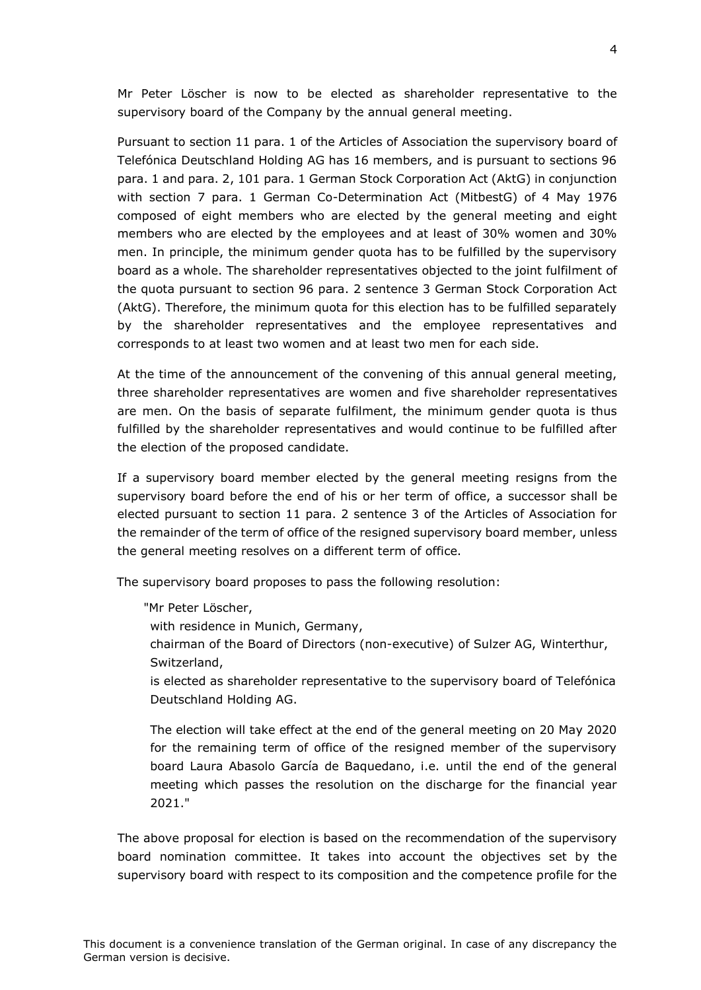Mr Peter Löscher is now to be elected as shareholder representative to the supervisory board of the Company by the annual general meeting.

Pursuant to section 11 para. 1 of the Articles of Association the supervisory board of Telefónica Deutschland Holding AG has 16 members, and is pursuant to sections 96 para. 1 and para. 2, 101 para. 1 German Stock Corporation Act (AktG) in conjunction with section 7 para. 1 German Co-Determination Act (MitbestG) of 4 May 1976 composed of eight members who are elected by the general meeting and eight members who are elected by the employees and at least of 30% women and 30% men. In principle, the minimum gender quota has to be fulfilled by the supervisory board as a whole. The shareholder representatives objected to the joint fulfilment of the quota pursuant to section 96 para. 2 sentence 3 German Stock Corporation Act (AktG). Therefore, the minimum quota for this election has to be fulfilled separately by the shareholder representatives and the employee representatives and corresponds to at least two women and at least two men for each side.

At the time of the announcement of the convening of this annual general meeting, three shareholder representatives are women and five shareholder representatives are men. On the basis of separate fulfilment, the minimum gender quota is thus fulfilled by the shareholder representatives and would continue to be fulfilled after the election of the proposed candidate.

If a supervisory board member elected by the general meeting resigns from the supervisory board before the end of his or her term of office, a successor shall be elected pursuant to section 11 para. 2 sentence 3 of the Articles of Association for the remainder of the term of office of the resigned supervisory board member, unless the general meeting resolves on a different term of office.

The supervisory board proposes to pass the following resolution:

"Mr Peter Löscher,

with residence in Munich, Germany,

chairman of the Board of Directors (non-executive) of Sulzer AG, Winterthur, Switzerland,

is elected as shareholder representative to the supervisory board of Telefónica Deutschland Holding AG.

The election will take effect at the end of the general meeting on 20 May 2020 for the remaining term of office of the resigned member of the supervisory board Laura Abasolo García de Baquedano, i.e. until the end of the general meeting which passes the resolution on the discharge for the financial year 2021."

The above proposal for election is based on the recommendation of the supervisory board nomination committee. It takes into account the objectives set by the supervisory board with respect to its composition and the competence profile for the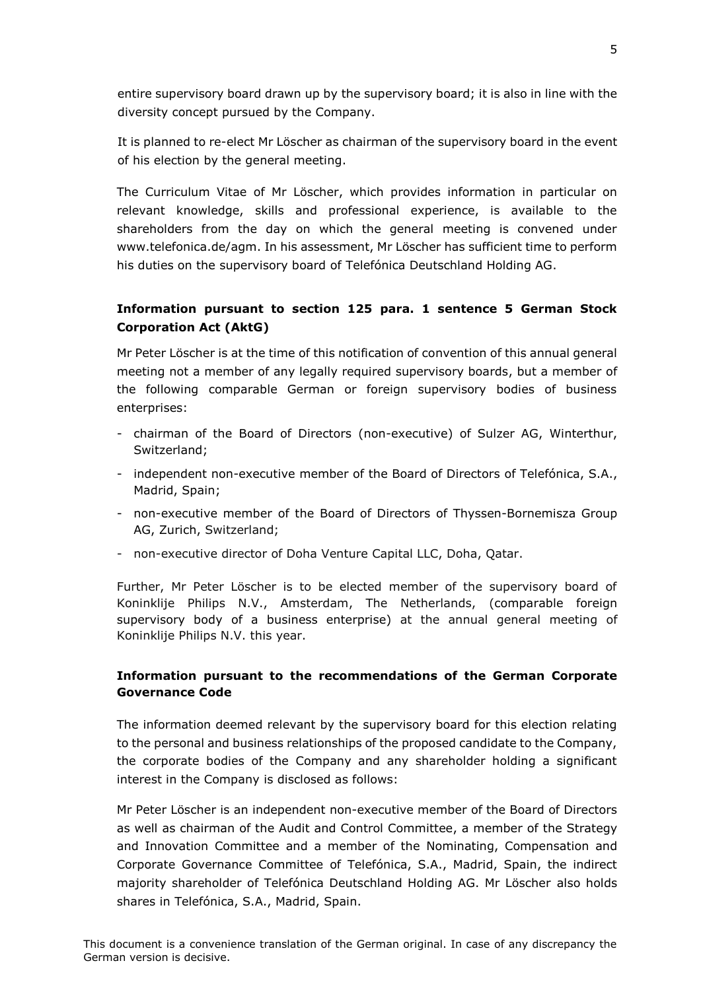entire supervisory board drawn up by the supervisory board; it is also in line with the diversity concept pursued by the Company.

It is planned to re-elect Mr Löscher as chairman of the supervisory board in the event of his election by the general meeting.

The Curriculum Vitae of Mr Löscher, which provides information in particular on relevant knowledge, skills and professional experience, is available to the shareholders from the day on which the general meeting is convened under www.telefonica.de/agm. In his assessment, Mr Löscher has sufficient time to perform his duties on the supervisory board of Telefónica Deutschland Holding AG.

# **Information pursuant to section 125 para. 1 sentence 5 German Stock Corporation Act (AktG)**

Mr Peter Löscher is at the time of this notification of convention of this annual general meeting not a member of any legally required supervisory boards, but a member of the following comparable German or foreign supervisory bodies of business enterprises:

- chairman of the Board of Directors (non-executive) of Sulzer AG, Winterthur, Switzerland;
- independent non-executive member of the Board of Directors of Telefónica, S.A., Madrid, Spain;
- non-executive member of the Board of Directors of Thyssen-Bornemisza Group AG, Zurich, Switzerland;
- non-executive director of Doha Venture Capital LLC, Doha, Qatar.

Further, Mr Peter Löscher is to be elected member of the supervisory board of Koninklije Philips N.V., Amsterdam, The Netherlands, (comparable foreign supervisory body of a business enterprise) at the annual general meeting of Koninklije Philips N.V. this year.

## **Information pursuant to the recommendations of the German Corporate Governance Code**

The information deemed relevant by the supervisory board for this election relating to the personal and business relationships of the proposed candidate to the Company, the corporate bodies of the Company and any shareholder holding a significant interest in the Company is disclosed as follows:

Mr Peter Löscher is an independent non-executive member of the Board of Directors as well as chairman of the Audit and Control Committee, a member of the Strategy and Innovation Committee and a member of the Nominating, Compensation and Corporate Governance Committee of Telefónica, S.A., Madrid, Spain, the indirect majority shareholder of Telefónica Deutschland Holding AG. Mr Löscher also holds shares in Telefónica, S.A., Madrid, Spain.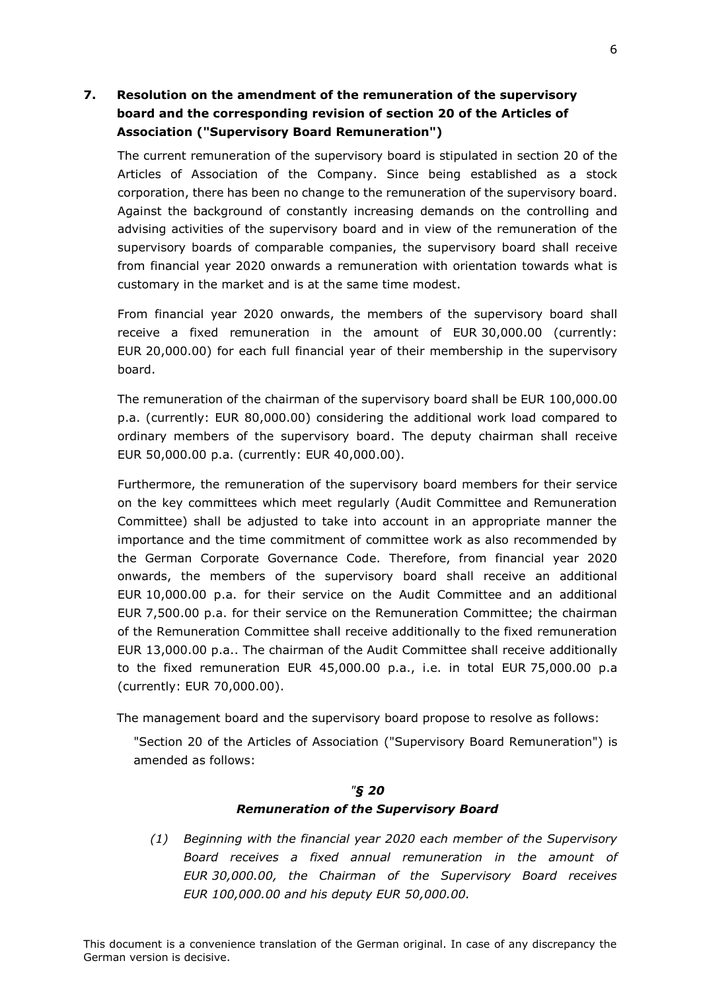# **7. Resolution on the amendment of the remuneration of the supervisory board and the corresponding revision of section 20 of the Articles of Association ("Supervisory Board Remuneration")**

The current remuneration of the supervisory board is stipulated in section 20 of the Articles of Association of the Company. Since being established as a stock corporation, there has been no change to the remuneration of the supervisory board. Against the background of constantly increasing demands on the controlling and advising activities of the supervisory board and in view of the remuneration of the supervisory boards of comparable companies, the supervisory board shall receive from financial year 2020 onwards a remuneration with orientation towards what is customary in the market and is at the same time modest.

From financial year 2020 onwards, the members of the supervisory board shall receive a fixed remuneration in the amount of EUR 30,000.00 (currently: EUR 20,000.00) for each full financial year of their membership in the supervisory board.

The remuneration of the chairman of the supervisory board shall be EUR 100,000.00 p.a. (currently: EUR 80,000.00) considering the additional work load compared to ordinary members of the supervisory board. The deputy chairman shall receive EUR 50,000.00 p.a. (currently: EUR 40,000.00).

Furthermore, the remuneration of the supervisory board members for their service on the key committees which meet regularly (Audit Committee and Remuneration Committee) shall be adjusted to take into account in an appropriate manner the importance and the time commitment of committee work as also recommended by the German Corporate Governance Code. Therefore, from financial year 2020 onwards, the members of the supervisory board shall receive an additional EUR 10,000.00 p.a. for their service on the Audit Committee and an additional EUR 7,500.00 p.a. for their service on the Remuneration Committee; the chairman of the Remuneration Committee shall receive additionally to the fixed remuneration EUR 13,000.00 p.a.. The chairman of the Audit Committee shall receive additionally to the fixed remuneration EUR 45,000.00 p.a., i.e. in total EUR 75,000.00 p.a (currently: EUR 70,000.00).

The management board and the supervisory board propose to resolve as follows:

"Section 20 of the Articles of Association ("Supervisory Board Remuneration") is amended as follows:

# *"§ 20 Remuneration of the Supervisory Board*

*(1) Beginning with the financial year 2020 each member of the Supervisory Board receives a fixed annual remuneration in the amount of EUR 30,000.00, the Chairman of the Supervisory Board receives EUR 100,000.00 and his deputy EUR 50,000.00.*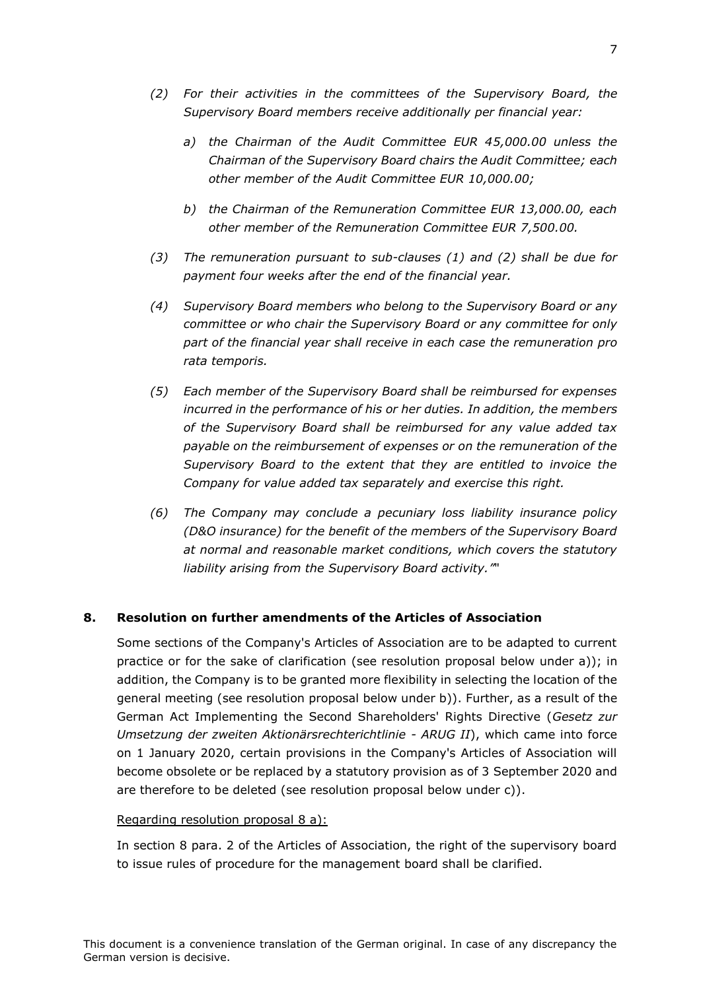- *(2) For their activities in the committees of the Supervisory Board, the Supervisory Board members receive additionally per financial year:*
	- *a) the Chairman of the Audit Committee EUR 45,000.00 unless the Chairman of the Supervisory Board chairs the Audit Committee; each other member of the Audit Committee EUR 10,000.00;*
	- *b) the Chairman of the Remuneration Committee EUR 13,000.00, each other member of the Remuneration Committee EUR 7,500.00.*
- *(3) The remuneration pursuant to sub-clauses (1) and (2) shall be due for payment four weeks after the end of the financial year.*
- *(4) Supervisory Board members who belong to the Supervisory Board or any committee or who chair the Supervisory Board or any committee for only part of the financial year shall receive in each case the remuneration pro rata temporis.*
- *(5) Each member of the Supervisory Board shall be reimbursed for expenses incurred in the performance of his or her duties. In addition, the members of the Supervisory Board shall be reimbursed for any value added tax payable on the reimbursement of expenses or on the remuneration of the Supervisory Board to the extent that they are entitled to invoice the Company for value added tax separately and exercise this right.*
- *(6) The Company may conclude a pecuniary loss liability insurance policy (D&O insurance) for the benefit of the members of the Supervisory Board at normal and reasonable market conditions, which covers the statutory liability arising from the Supervisory Board activity."*"

## **8. Resolution on further amendments of the Articles of Association**

Some sections of the Company's Articles of Association are to be adapted to current practice or for the sake of clarification (see resolution proposal below under a)); in addition, the Company is to be granted more flexibility in selecting the location of the general meeting (see resolution proposal below under b)). Further, as a result of the German Act Implementing the Second Shareholders' Rights Directive (*Gesetz zur Umsetzung der zweiten Aktionärsrechterichtlinie - ARUG II*), which came into force on 1 January 2020, certain provisions in the Company's Articles of Association will become obsolete or be replaced by a statutory provision as of 3 September 2020 and are therefore to be deleted (see resolution proposal below under c)).

#### Regarding resolution proposal 8 a):

In section 8 para. 2 of the Articles of Association, the right of the supervisory board to issue rules of procedure for the management board shall be clarified.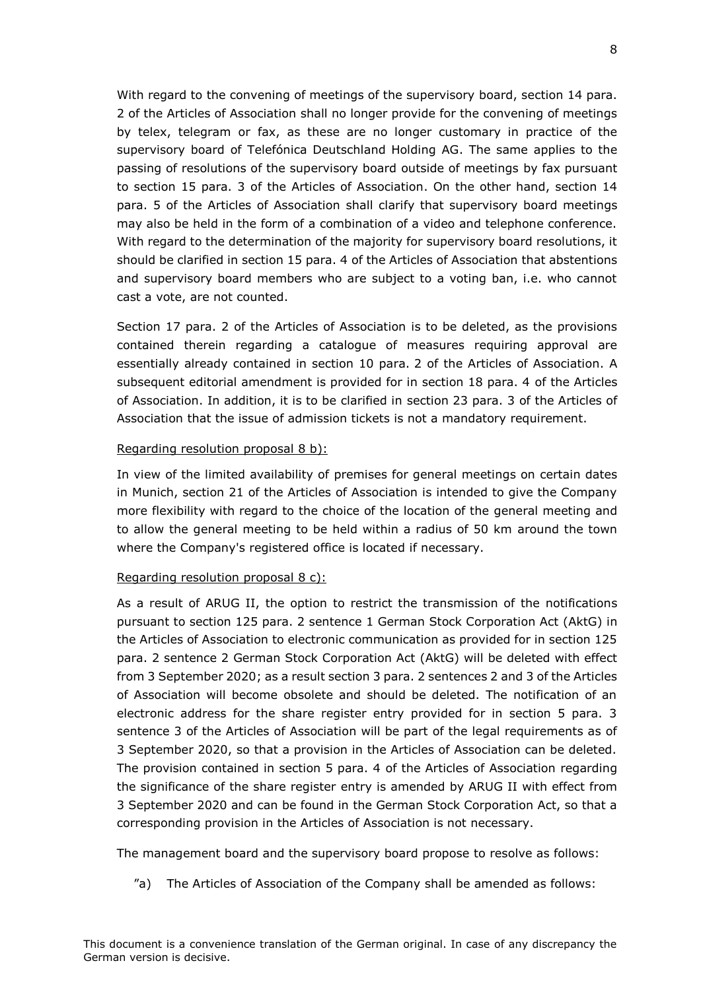With regard to the convening of meetings of the supervisory board, section 14 para. 2 of the Articles of Association shall no longer provide for the convening of meetings by telex, telegram or fax, as these are no longer customary in practice of the supervisory board of Telefónica Deutschland Holding AG. The same applies to the passing of resolutions of the supervisory board outside of meetings by fax pursuant to section 15 para. 3 of the Articles of Association. On the other hand, section 14 para. 5 of the Articles of Association shall clarify that supervisory board meetings may also be held in the form of a combination of a video and telephone conference. With regard to the determination of the majority for supervisory board resolutions, it should be clarified in section 15 para. 4 of the Articles of Association that abstentions and supervisory board members who are subject to a voting ban, i.e. who cannot cast a vote, are not counted.

Section 17 para. 2 of the Articles of Association is to be deleted, as the provisions contained therein regarding a catalogue of measures requiring approval are essentially already contained in section 10 para. 2 of the Articles of Association. A subsequent editorial amendment is provided for in section 18 para. 4 of the Articles of Association. In addition, it is to be clarified in section 23 para. 3 of the Articles of Association that the issue of admission tickets is not a mandatory requirement.

#### Regarding resolution proposal 8 b):

In view of the limited availability of premises for general meetings on certain dates in Munich, section 21 of the Articles of Association is intended to give the Company more flexibility with regard to the choice of the location of the general meeting and to allow the general meeting to be held within a radius of 50 km around the town where the Company's registered office is located if necessary.

#### Regarding resolution proposal 8 c):

As a result of ARUG II, the option to restrict the transmission of the notifications pursuant to section 125 para. 2 sentence 1 German Stock Corporation Act (AktG) in the Articles of Association to electronic communication as provided for in section 125 para. 2 sentence 2 German Stock Corporation Act (AktG) will be deleted with effect from 3 September 2020; as a result section 3 para. 2 sentences 2 and 3 of the Articles of Association will become obsolete and should be deleted. The notification of an electronic address for the share register entry provided for in section 5 para. 3 sentence 3 of the Articles of Association will be part of the legal requirements as of 3 September 2020, so that a provision in the Articles of Association can be deleted. The provision contained in section 5 para. 4 of the Articles of Association regarding the significance of the share register entry is amended by ARUG II with effect from 3 September 2020 and can be found in the German Stock Corporation Act, so that a corresponding provision in the Articles of Association is not necessary.

The management board and the supervisory board propose to resolve as follows:

"a) The Articles of Association of the Company shall be amended as follows: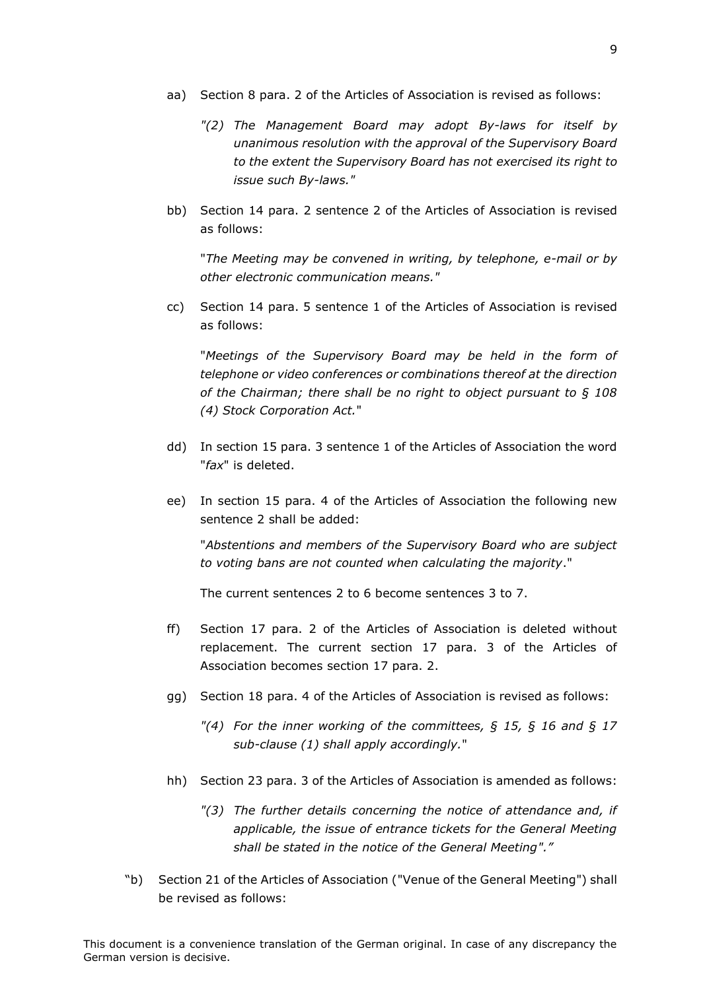- aa) Section 8 para. 2 of the Articles of Association is revised as follows:
	- *"(2) The Management Board may adopt By-laws for itself by unanimous resolution with the approval of the Supervisory Board to the extent the Supervisory Board has not exercised its right to issue such By-laws."*
- bb) Section 14 para. 2 sentence 2 of the Articles of Association is revised as follows:

"*The Meeting may be convened in writing, by telephone, e-mail or by other electronic communication means."*

cc) Section 14 para. 5 sentence 1 of the Articles of Association is revised as follows:

"*Meetings of the Supervisory Board may be held in the form of telephone or video conferences or combinations thereof at the direction of the Chairman; there shall be no right to object pursuant to § 108 (4) Stock Corporation Act.*"

- dd) In section 15 para. 3 sentence 1 of the Articles of Association the word "*fax*" is deleted.
- ee) In section 15 para. 4 of the Articles of Association the following new sentence 2 shall be added:

"*Abstentions and members of the Supervisory Board who are subject to voting bans are not counted when calculating the majority*."

The current sentences 2 to 6 become sentences 3 to 7.

- ff) Section 17 para. 2 of the Articles of Association is deleted without replacement. The current section 17 para. 3 of the Articles of Association becomes section 17 para. 2.
- gg) Section 18 para. 4 of the Articles of Association is revised as follows:
	- *"(4) For the inner working of the committees, § 15, § 16 and § 17 sub-clause (1) shall apply accordingly.*"
- hh) Section 23 para. 3 of the Articles of Association is amended as follows:
	- *"(3) The further details concerning the notice of attendance and, if applicable, the issue of entrance tickets for the General Meeting shall be stated in the notice of the General Meeting"."*
- "b) Section 21 of the Articles of Association ("Venue of the General Meeting") shall be revised as follows: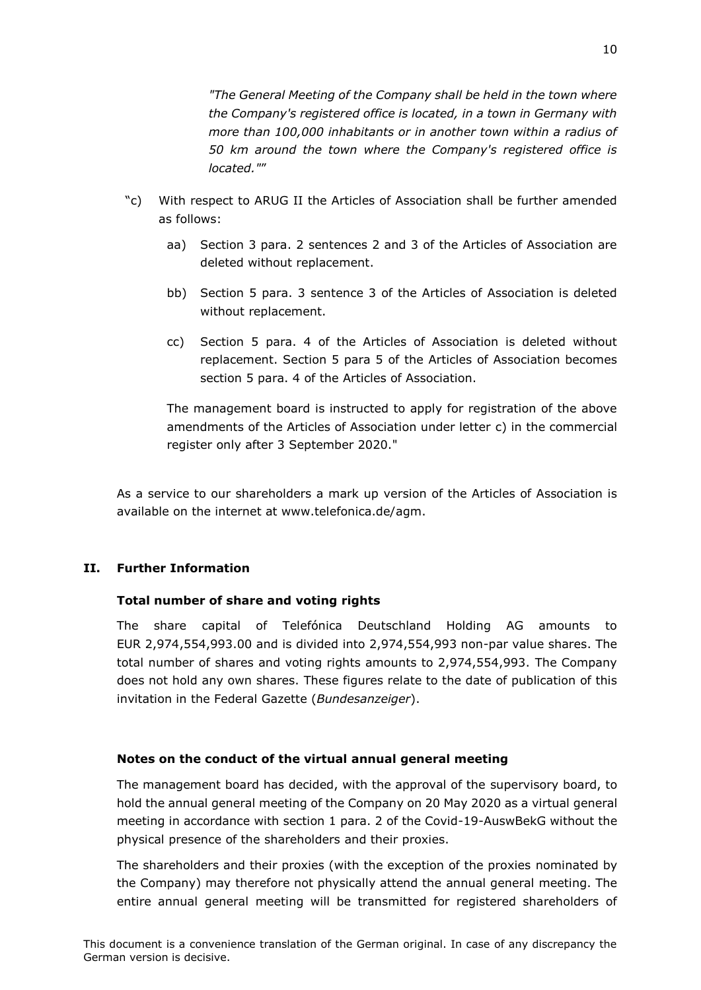*"The General Meeting of the Company shall be held in the town where the Company's registered office is located, in a town in Germany with more than 100,000 inhabitants or in another town within a radius of 50 km around the town where the Company's registered office is located."*"

- "c) With respect to ARUG II the Articles of Association shall be further amended as follows:
	- aa) Section 3 para. 2 sentences 2 and 3 of the Articles of Association are deleted without replacement.
	- bb) Section 5 para. 3 sentence 3 of the Articles of Association is deleted without replacement.
	- cc) Section 5 para. 4 of the Articles of Association is deleted without replacement. Section 5 para 5 of the Articles of Association becomes section 5 para. 4 of the Articles of Association.

The management board is instructed to apply for registration of the above amendments of the Articles of Association under letter c) in the commercial register only after 3 September 2020."

As a service to our shareholders a mark up version of the Articles of Association is available on the internet at www.telefonica.de/agm.

# **II. Further Information**

## **Total number of share and voting rights**

The share capital of Telefónica Deutschland Holding AG amounts to EUR 2,974,554,993.00 and is divided into 2,974,554,993 non-par value shares. The total number of shares and voting rights amounts to 2,974,554,993. The Company does not hold any own shares. These figures relate to the date of publication of this invitation in the Federal Gazette (*Bundesanzeiger*).

## **Notes on the conduct of the virtual annual general meeting**

The management board has decided, with the approval of the supervisory board, to hold the annual general meeting of the Company on 20 May 2020 as a virtual general meeting in accordance with section 1 para. 2 of the Covid-19-AuswBekG without the physical presence of the shareholders and their proxies.

The shareholders and their proxies (with the exception of the proxies nominated by the Company) may therefore not physically attend the annual general meeting. The entire annual general meeting will be transmitted for registered shareholders of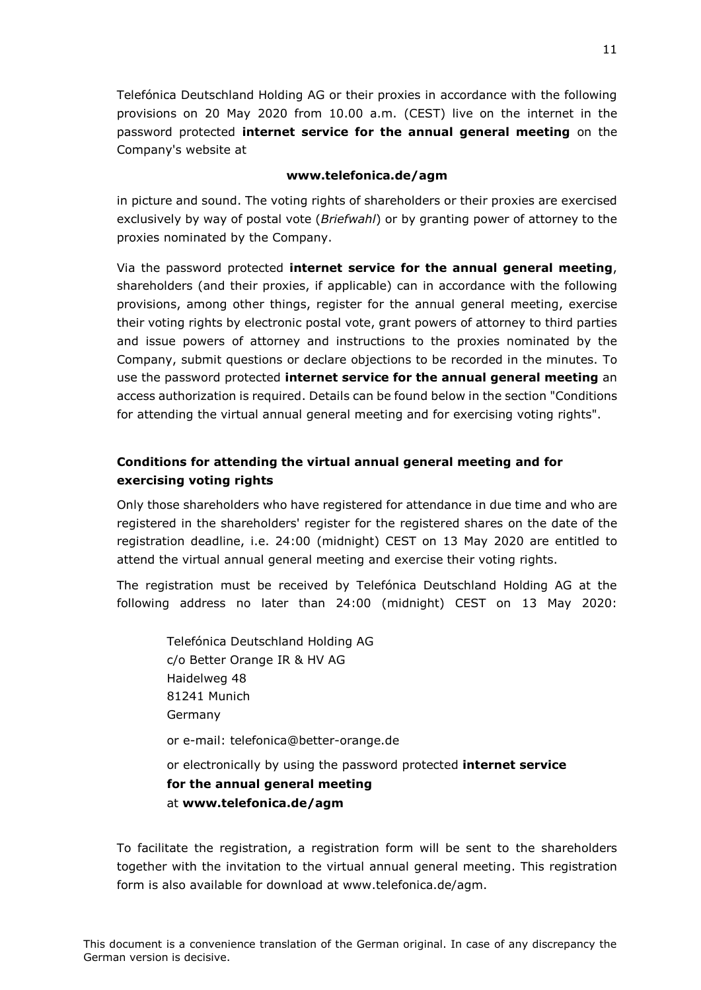Telefónica Deutschland Holding AG or their proxies in accordance with the following provisions on 20 May 2020 from 10.00 a.m. (CEST) live on the internet in the password protected **internet service for the annual general meeting** on the Company's website at

#### **www.telefonica.de/agm**

in picture and sound. The voting rights of shareholders or their proxies are exercised exclusively by way of postal vote (*Briefwahl*) or by granting power of attorney to the proxies nominated by the Company.

Via the password protected **internet service for the annual general meeting**, shareholders (and their proxies, if applicable) can in accordance with the following provisions, among other things, register for the annual general meeting, exercise their voting rights by electronic postal vote, grant powers of attorney to third parties and issue powers of attorney and instructions to the proxies nominated by the Company, submit questions or declare objections to be recorded in the minutes. To use the password protected **internet service for the annual general meeting** an access authorization is required. Details can be found below in the section "Conditions for attending the virtual annual general meeting and for exercising voting rights".

# **Conditions for attending the virtual annual general meeting and for exercising voting rights**

Only those shareholders who have registered for attendance in due time and who are registered in the shareholders' register for the registered shares on the date of the registration deadline, i.e. 24:00 (midnight) CEST on 13 May 2020 are entitled to attend the virtual annual general meeting and exercise their voting rights.

The registration must be received by Telefónica Deutschland Holding AG at the following address no later than 24:00 (midnight) CEST on 13 May 2020:

Telefónica Deutschland Holding AG c/o Better Orange IR & HV AG Haidelweg 48 81241 Munich Germany or e-mail: telefonica@better-orange.de or electronically by using the password protected **internet service for the annual general meeting** at **www.telefonica.de/agm**

To facilitate the registration, a registration form will be sent to the shareholders together with the invitation to the virtual annual general meeting. This registration form is also available for download at www.telefonica.de/agm.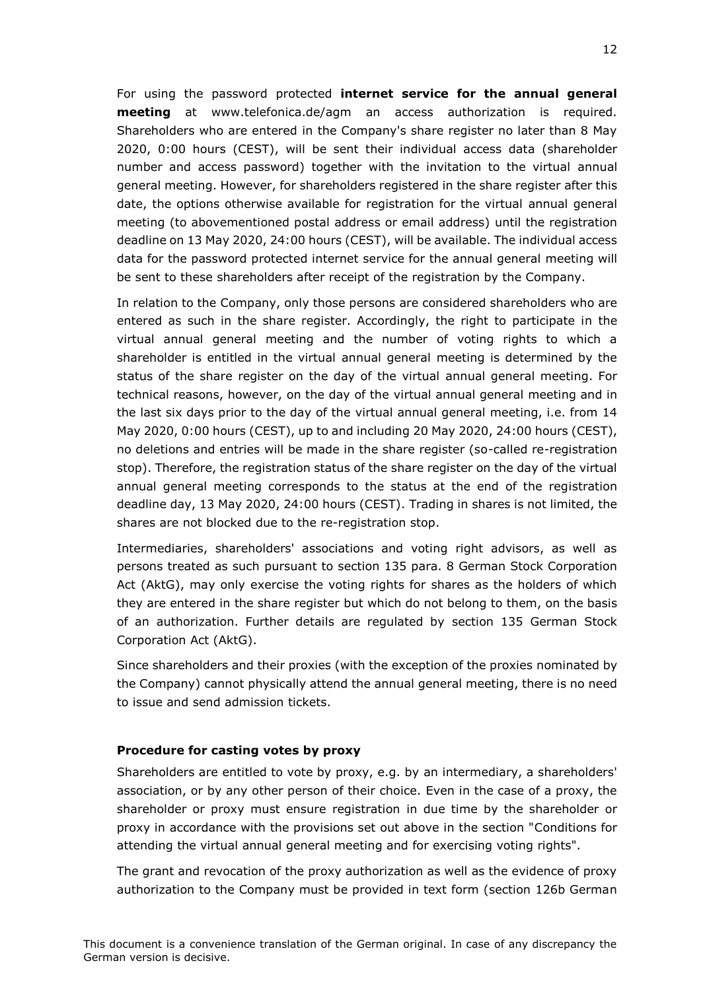For using the password protected **internet service for the annual general meeting** at www.telefonica.de/agm an access authorization is required. Shareholders who are entered in the Company's share register no later than 8 May 2020, 0:00 hours (CEST), will be sent their individual access data (shareholder number and access password) together with the invitation to the virtual annual general meeting. However, for shareholders registered in the share register after this date, the options otherwise available for registration for the virtual annual general meeting (to abovementioned postal address or email address) until the registration deadline on 13 May 2020, 24:00 hours (CEST), will be available. The individual access data for the password protected internet service for the annual general meeting will be sent to these shareholders after receipt of the registration by the Company.

In relation to the Company, only those persons are considered shareholders who are entered as such in the share register. Accordingly, the right to participate in the virtual annual general meeting and the number of voting rights to which a shareholder is entitled in the virtual annual general meeting is determined by the status of the share register on the day of the virtual annual general meeting. For technical reasons, however, on the day of the virtual annual general meeting and in the last six days prior to the day of the virtual annual general meeting, i.e. from 14 May 2020, 0:00 hours (CEST), up to and including 20 May 2020, 24:00 hours (CEST), no deletions and entries will be made in the share register (so-called re-registration stop). Therefore, the registration status of the share register on the day of the virtual annual general meeting corresponds to the status at the end of the registration deadline day, 13 May 2020, 24:00 hours (CEST). Trading in shares is not limited, the shares are not blocked due to the re-registration stop.

Intermediaries, shareholders' associations and voting right advisors, as well as persons treated as such pursuant to section 135 para. 8 German Stock Corporation Act (AktG), may only exercise the voting rights for shares as the holders of which they are entered in the share register but which do not belong to them, on the basis of an authorization. Further details are regulated by section 135 German Stock Corporation Act (AktG).

Since shareholders and their proxies (with the exception of the proxies nominated by the Company) cannot physically attend the annual general meeting, there is no need to issue and send admission tickets.

#### **Procedure for casting votes by proxy**

Shareholders are entitled to vote by proxy, e.g. by an intermediary, a shareholders' association, or by any other person of their choice. Even in the case of a proxy, the shareholder or proxy must ensure registration in due time by the shareholder or proxy in accordance with the provisions set out above in the section "Conditions for attending the virtual annual general meeting and for exercising voting rights".

The grant and revocation of the proxy authorization as well as the evidence of proxy authorization to the Company must be provided in text form (section 126b German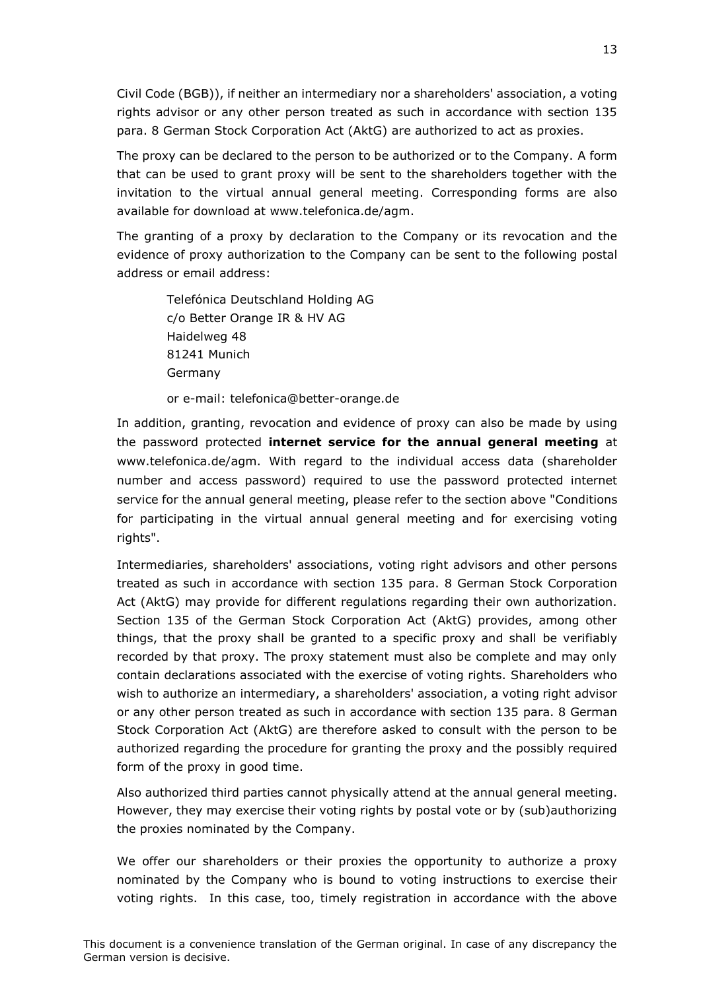Civil Code (BGB)), if neither an intermediary nor a shareholders' association, a voting rights advisor or any other person treated as such in accordance with section 135 para. 8 German Stock Corporation Act (AktG) are authorized to act as proxies.

The proxy can be declared to the person to be authorized or to the Company. A form that can be used to grant proxy will be sent to the shareholders together with the invitation to the virtual annual general meeting. Corresponding forms are also available for download at www.telefonica.de/agm.

The granting of a proxy by declaration to the Company or its revocation and the evidence of proxy authorization to the Company can be sent to the following postal address or email address:

Telefónica Deutschland Holding AG c/o Better Orange IR & HV AG Haidelweg 48 81241 Munich Germany

or e-mail: telefonica@better-orange.de

In addition, granting, revocation and evidence of proxy can also be made by using the password protected **internet service for the annual general meeting** at www.telefonica.de/agm. With regard to the individual access data (shareholder number and access password) required to use the password protected internet service for the annual general meeting, please refer to the section above "Conditions for participating in the virtual annual general meeting and for exercising voting rights".

Intermediaries, shareholders' associations, voting right advisors and other persons treated as such in accordance with section 135 para. 8 German Stock Corporation Act (AktG) may provide for different regulations regarding their own authorization. Section 135 of the German Stock Corporation Act (AktG) provides, among other things, that the proxy shall be granted to a specific proxy and shall be verifiably recorded by that proxy. The proxy statement must also be complete and may only contain declarations associated with the exercise of voting rights. Shareholders who wish to authorize an intermediary, a shareholders' association, a voting right advisor or any other person treated as such in accordance with section 135 para. 8 German Stock Corporation Act (AktG) are therefore asked to consult with the person to be authorized regarding the procedure for granting the proxy and the possibly required form of the proxy in good time.

Also authorized third parties cannot physically attend at the annual general meeting. However, they may exercise their voting rights by postal vote or by (sub)authorizing the proxies nominated by the Company.

We offer our shareholders or their proxies the opportunity to authorize a proxy nominated by the Company who is bound to voting instructions to exercise their voting rights. In this case, too, timely registration in accordance with the above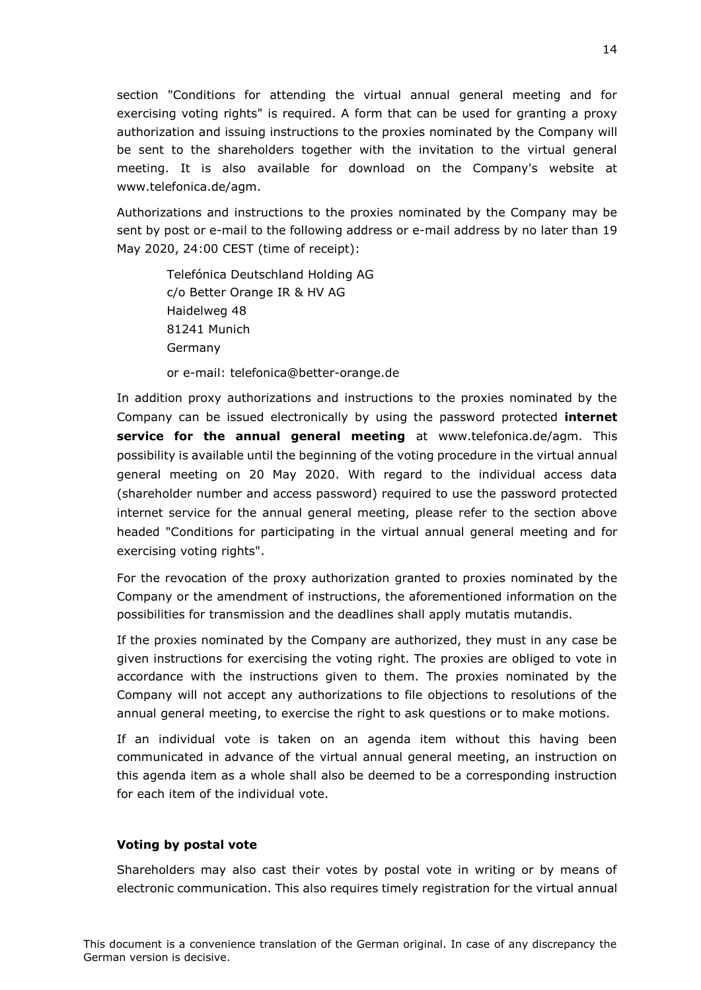section "Conditions for attending the virtual annual general meeting and for exercising voting rights" is required. A form that can be used for granting a proxy authorization and issuing instructions to the proxies nominated by the Company will be sent to the shareholders together with the invitation to the virtual general meeting. It is also available for download on the Company's website at www.telefonica.de/agm.

Authorizations and instructions to the proxies nominated by the Company may be sent by post or e-mail to the following address or e-mail address by no later than 19 May 2020, 24:00 CEST (time of receipt):

Telefónica Deutschland Holding AG c/o Better Orange IR & HV AG Haidelweg 48 81241 Munich Germany

or e-mail: telefonica@better-orange.de

In addition proxy authorizations and instructions to the proxies nominated by the Company can be issued electronically by using the password protected **internet service for the annual general meeting** at www.telefonica.de/agm. This possibility is available until the beginning of the voting procedure in the virtual annual general meeting on 20 May 2020. With regard to the individual access data (shareholder number and access password) required to use the password protected internet service for the annual general meeting, please refer to the section above headed "Conditions for participating in the virtual annual general meeting and for exercising voting rights".

For the revocation of the proxy authorization granted to proxies nominated by the Company or the amendment of instructions, the aforementioned information on the possibilities for transmission and the deadlines shall apply mutatis mutandis.

If the proxies nominated by the Company are authorized, they must in any case be given instructions for exercising the voting right. The proxies are obliged to vote in accordance with the instructions given to them. The proxies nominated by the Company will not accept any authorizations to file objections to resolutions of the annual general meeting, to exercise the right to ask questions or to make motions.

If an individual vote is taken on an agenda item without this having been communicated in advance of the virtual annual general meeting, an instruction on this agenda item as a whole shall also be deemed to be a corresponding instruction for each item of the individual vote.

## **Voting by postal vote**

Shareholders may also cast their votes by postal vote in writing or by means of electronic communication. This also requires timely registration for the virtual annual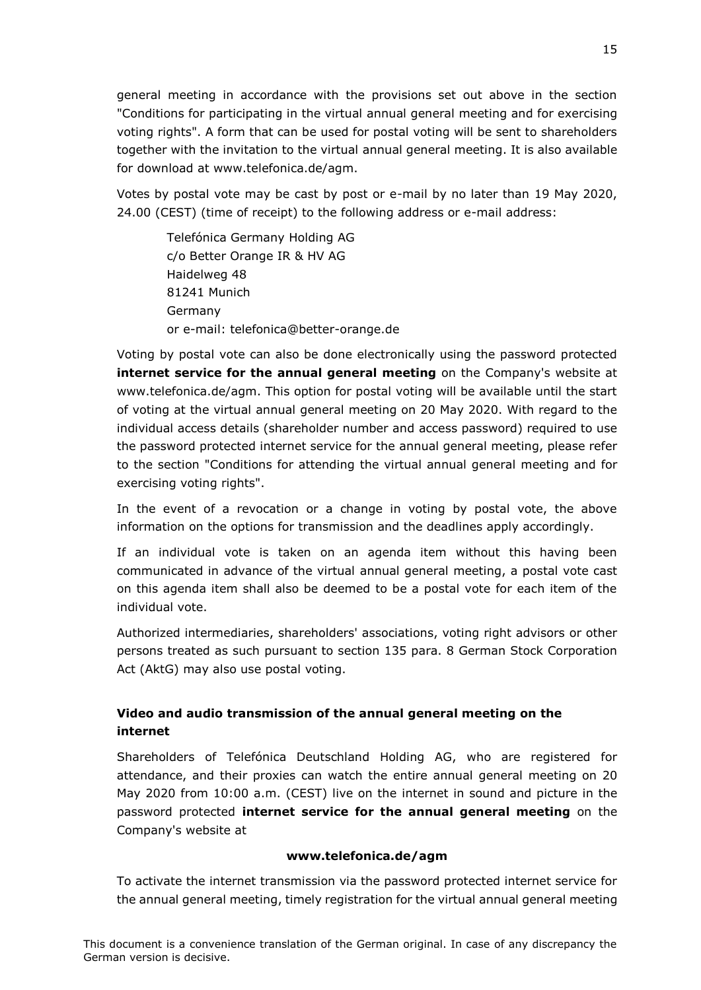general meeting in accordance with the provisions set out above in the section "Conditions for participating in the virtual annual general meeting and for exercising voting rights". A form that can be used for postal voting will be sent to shareholders together with the invitation to the virtual annual general meeting. It is also available for download at www.telefonica.de/agm.

Votes by postal vote may be cast by post or e-mail by no later than 19 May 2020, 24.00 (CEST) (time of receipt) to the following address or e-mail address:

Telefónica Germany Holding AG c/o Better Orange IR & HV AG Haidelweg 48 81241 Munich Germany or e-mail: telefonica@better-orange.de

Voting by postal vote can also be done electronically using the password protected **internet service for the annual general meeting** on the Company's website at www.telefonica.de/agm. This option for postal voting will be available until the start of voting at the virtual annual general meeting on 20 May 2020. With regard to the individual access details (shareholder number and access password) required to use the password protected internet service for the annual general meeting, please refer to the section "Conditions for attending the virtual annual general meeting and for exercising voting rights".

In the event of a revocation or a change in voting by postal vote, the above information on the options for transmission and the deadlines apply accordingly.

If an individual vote is taken on an agenda item without this having been communicated in advance of the virtual annual general meeting, a postal vote cast on this agenda item shall also be deemed to be a postal vote for each item of the individual vote.

Authorized intermediaries, shareholders' associations, voting right advisors or other persons treated as such pursuant to section 135 para. 8 German Stock Corporation Act (AktG) may also use postal voting.

# **Video and audio transmission of the annual general meeting on the internet**

Shareholders of Telefónica Deutschland Holding AG, who are registered for attendance, and their proxies can watch the entire annual general meeting on 20 May 2020 from 10:00 a.m. (CEST) live on the internet in sound and picture in the password protected **internet service for the annual general meeting** on the Company's website at

## **www.telefonica.de/agm**

To activate the internet transmission via the password protected internet service for the annual general meeting, timely registration for the virtual annual general meeting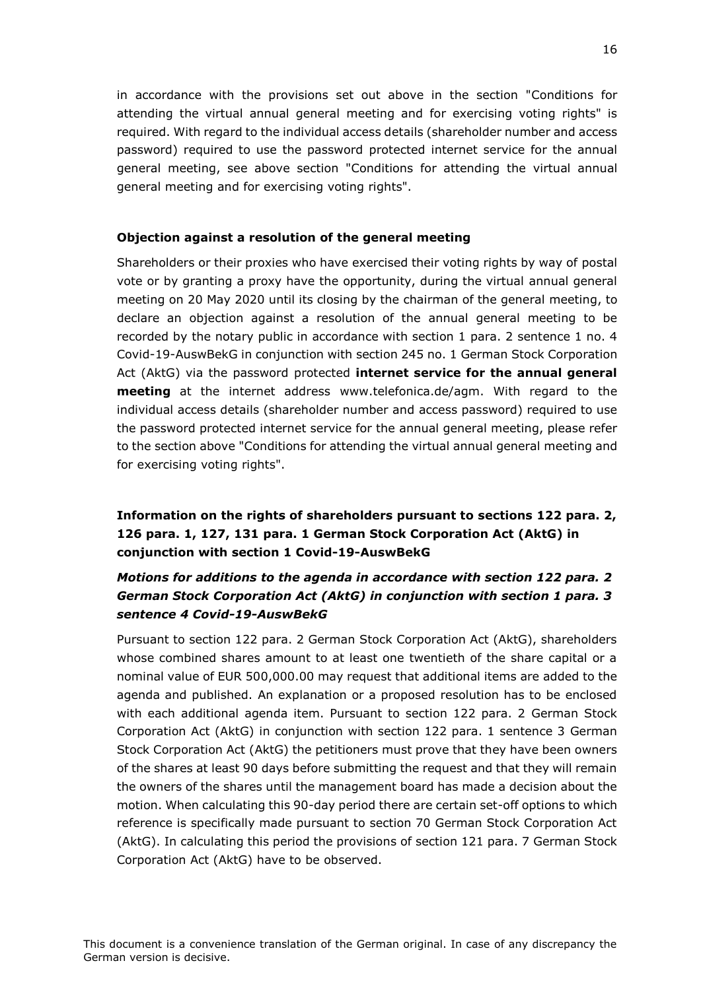in accordance with the provisions set out above in the section "Conditions for attending the virtual annual general meeting and for exercising voting rights" is required. With regard to the individual access details (shareholder number and access password) required to use the password protected internet service for the annual general meeting, see above section "Conditions for attending the virtual annual general meeting and for exercising voting rights".

## **Objection against a resolution of the general meeting**

Shareholders or their proxies who have exercised their voting rights by way of postal vote or by granting a proxy have the opportunity, during the virtual annual general meeting on 20 May 2020 until its closing by the chairman of the general meeting, to declare an objection against a resolution of the annual general meeting to be recorded by the notary public in accordance with section 1 para. 2 sentence 1 no. 4 Covid-19-AuswBekG in conjunction with section 245 no. 1 German Stock Corporation Act (AktG) via the password protected **internet service for the annual general meeting** at the internet address www.telefonica.de/agm. With regard to the individual access details (shareholder number and access password) required to use the password protected internet service for the annual general meeting, please refer to the section above "Conditions for attending the virtual annual general meeting and for exercising voting rights".

# **Information on the rights of shareholders pursuant to sections 122 para. 2, 126 para. 1, 127, 131 para. 1 German Stock Corporation Act (AktG) in conjunction with section 1 Covid-19-AuswBekG**

# *Motions for additions to the agenda in accordance with section 122 para. 2 German Stock Corporation Act (AktG) in conjunction with section 1 para. 3 sentence 4 Covid-19-AuswBekG*

Pursuant to section 122 para. 2 German Stock Corporation Act (AktG), shareholders whose combined shares amount to at least one twentieth of the share capital or a nominal value of EUR 500,000.00 may request that additional items are added to the agenda and published. An explanation or a proposed resolution has to be enclosed with each additional agenda item. Pursuant to section 122 para. 2 German Stock Corporation Act (AktG) in conjunction with section 122 para. 1 sentence 3 German Stock Corporation Act (AktG) the petitioners must prove that they have been owners of the shares at least 90 days before submitting the request and that they will remain the owners of the shares until the management board has made a decision about the motion. When calculating this 90-day period there are certain set-off options to which reference is specifically made pursuant to section 70 German Stock Corporation Act (AktG). In calculating this period the provisions of section 121 para. 7 German Stock Corporation Act (AktG) have to be observed.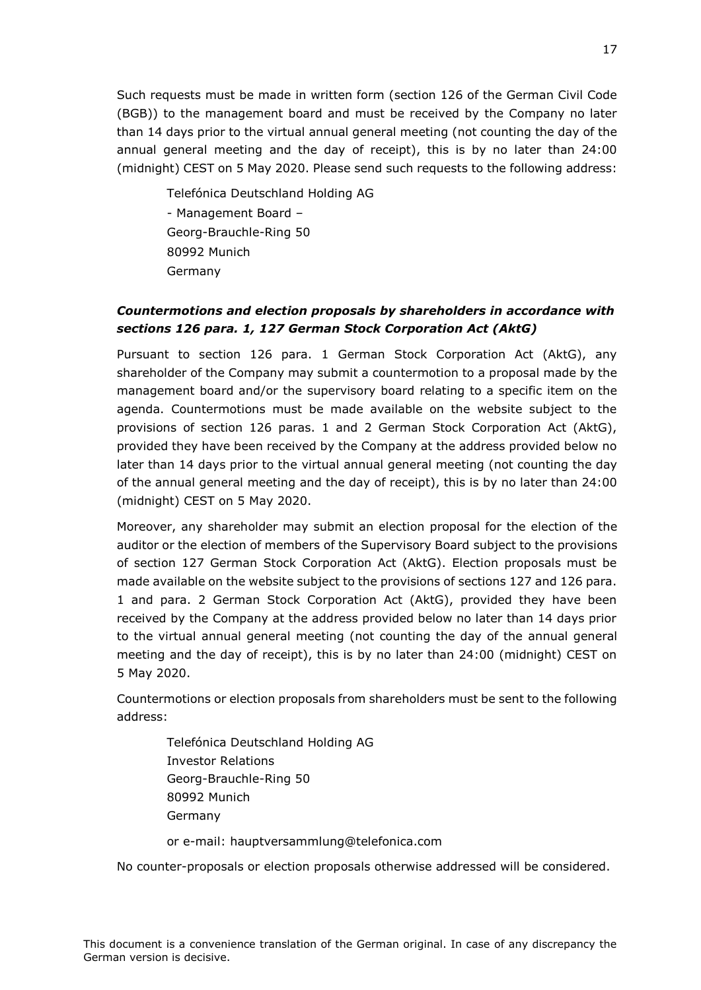Such requests must be made in written form (section 126 of the German Civil Code (BGB)) to the management board and must be received by the Company no later than 14 days prior to the virtual annual general meeting (not counting the day of the annual general meeting and the day of receipt), this is by no later than 24:00 (midnight) CEST on 5 May 2020. Please send such requests to the following address:

Telefónica Deutschland Holding AG - Management Board – Georg-Brauchle-Ring 50 80992 Munich Germany

# *Countermotions and election proposals by shareholders in accordance with sections 126 para. 1, 127 German Stock Corporation Act (AktG)*

Pursuant to section 126 para. 1 German Stock Corporation Act (AktG), any shareholder of the Company may submit a countermotion to a proposal made by the management board and/or the supervisory board relating to a specific item on the agenda. Countermotions must be made available on the website subject to the provisions of section 126 paras. 1 and 2 German Stock Corporation Act (AktG), provided they have been received by the Company at the address provided below no later than 14 days prior to the virtual annual general meeting (not counting the day of the annual general meeting and the day of receipt), this is by no later than 24:00 (midnight) CEST on 5 May 2020.

Moreover, any shareholder may submit an election proposal for the election of the auditor or the election of members of the Supervisory Board subject to the provisions of section 127 German Stock Corporation Act (AktG). Election proposals must be made available on the website subject to the provisions of sections 127 and 126 para. 1 and para. 2 German Stock Corporation Act (AktG), provided they have been received by the Company at the address provided below no later than 14 days prior to the virtual annual general meeting (not counting the day of the annual general meeting and the day of receipt), this is by no later than 24:00 (midnight) CEST on 5 May 2020.

Countermotions or election proposals from shareholders must be sent to the following address:

Telefónica Deutschland Holding AG Investor Relations Georg-Brauchle-Ring 50 80992 Munich Germany

or e-mail: hauptversammlung@telefonica.com

No counter-proposals or election proposals otherwise addressed will be considered.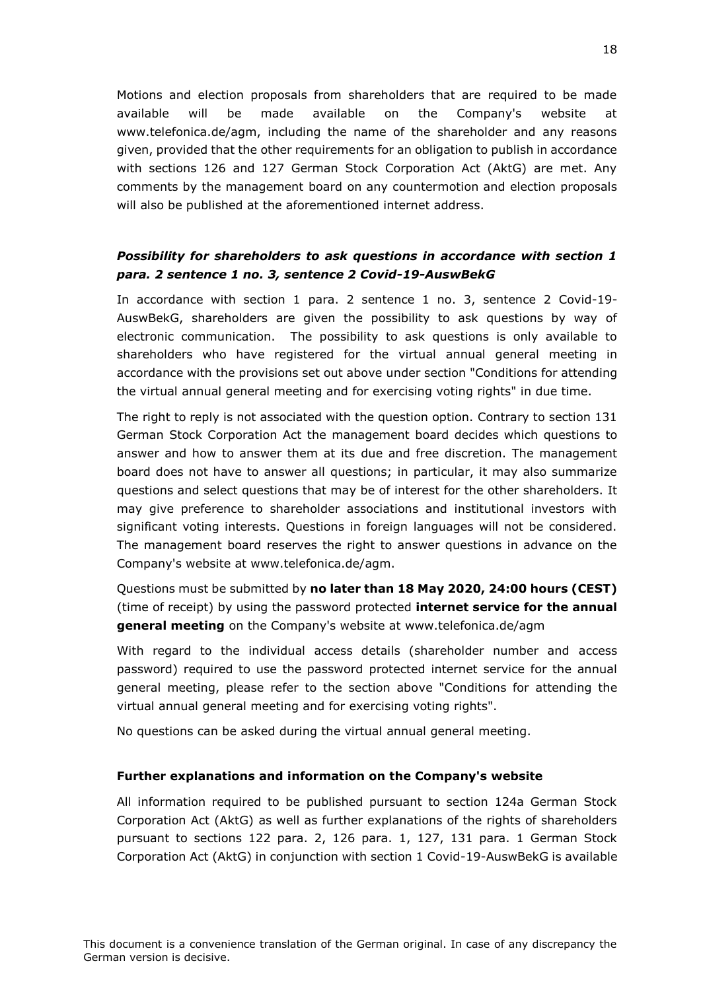Motions and election proposals from shareholders that are required to be made available will be made available on the Company's website at www.telefonica.de/agm, including the name of the shareholder and any reasons given, provided that the other requirements for an obligation to publish in accordance with sections 126 and 127 German Stock Corporation Act (AktG) are met. Any comments by the management board on any countermotion and election proposals will also be published at the aforementioned internet address.

## *Possibility for shareholders to ask questions in accordance with section 1 para. 2 sentence 1 no. 3, sentence 2 Covid-19-AuswBekG*

In accordance with section 1 para. 2 sentence 1 no. 3, sentence 2 Covid-19- AuswBekG, shareholders are given the possibility to ask questions by way of electronic communication. The possibility to ask questions is only available to shareholders who have registered for the virtual annual general meeting in accordance with the provisions set out above under section "Conditions for attending the virtual annual general meeting and for exercising voting rights" in due time.

The right to reply is not associated with the question option. Contrary to section 131 German Stock Corporation Act the management board decides which questions to answer and how to answer them at its due and free discretion. The management board does not have to answer all questions; in particular, it may also summarize questions and select questions that may be of interest for the other shareholders. It may give preference to shareholder associations and institutional investors with significant voting interests. Questions in foreign languages will not be considered. The management board reserves the right to answer questions in advance on the Company's website at www.telefonica.de/agm.

Questions must be submitted by **no later than 18 May 2020, 24:00 hours (CEST)** (time of receipt) by using the password protected **internet service for the annual general meeting** on the Company's website at www.telefonica.de/agm

With regard to the individual access details (shareholder number and access password) required to use the password protected internet service for the annual general meeting, please refer to the section above "Conditions for attending the virtual annual general meeting and for exercising voting rights".

No questions can be asked during the virtual annual general meeting.

#### **Further explanations and information on the Company's website**

All information required to be published pursuant to section 124a German Stock Corporation Act (AktG) as well as further explanations of the rights of shareholders pursuant to sections 122 para. 2, 126 para. 1, 127, 131 para. 1 German Stock Corporation Act (AktG) in conjunction with section 1 Covid-19-AuswBekG is available